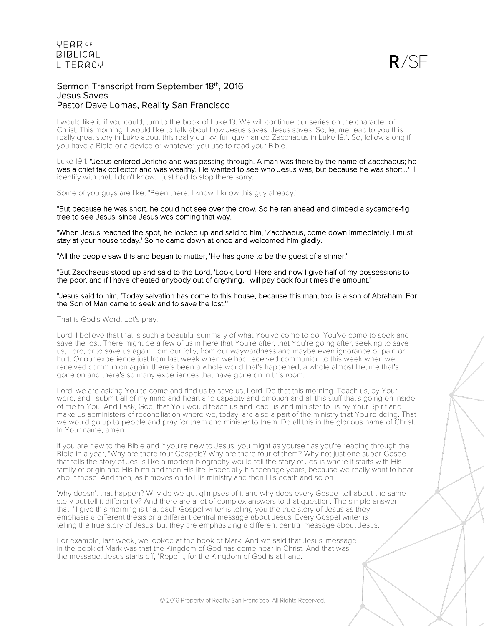

### Sermon Transcript from September 18th, 2016 Jesus Saves Pastor Dave Lomas, Reality San Francisco

I would like it, if you could, turn to the book of Luke 19. We will continue our series on the character of Christ. This morning, I would like to talk about how Jesus saves. Jesus saves. So, let me read to you this really great story in Luke about this really quirky, fun guy named Zacchaeus in Luke 19:1. So, follow along if you have a Bible or a device or whatever you use to read your Bible.

Luke 19:1: "Jesus entered Jericho and was passing through. A man was there by the name of Zacchaeus; he was a chief tax collector and was wealthy. He wanted to see who Jesus was, but because he was short..." | identify with that. I don't know. I just had to stop there sorry.

Some of you guys are like, "Been there. I know. I know this guy already."

"But because he was short, he could not see over the crow. So he ran ahead and climbed a sycamore-fig tree to see Jesus, since Jesus was coming that way.

"When Jesus reached the spot, he looked up and said to him, 'Zacchaeus, come down immediately. I must stay at your house today.' So he came down at once and welcomed him gladly.

"All the people saw this and began to mutter, 'He has gone to be the guest of a sinner.'

"But Zacchaeus stood up and said to the Lord, 'Look, Lord! Here and now I give half of my possessions to the poor, and if I have cheated anybody out of anything, I will pay back four times the amount.'

#### "Jesus said to him, 'Today salvation has come to this house, because this man, too, is a son of Abraham. For the Son of Man came to seek and to save the lost.'"

That is God's Word. Let's pray.

Lord, I believe that that is such a beautiful summary of what You've come to do. You've come to seek and save the lost. There might be a few of us in here that You're after, that You're going after, seeking to save us, Lord, or to save us again from our folly, from our waywardness and maybe even ignorance or pain or hurt. Or our experience just from last week when we had received communion to this week when we received communion again, there's been a whole world that's happened, a whole almost lifetime that's gone on and there's so many experiences that have gone on in this room.

Lord, we are asking You to come and find us to save us, Lord. Do that this morning. Teach us, by Your word, and I submit all of my mind and heart and capacity and emotion and all this stuff that's going on inside of me to You. And I ask, God, that You would teach us and lead us and minister to us by Your Spirit and make us administers of reconciliation where we, today, are also a part of the ministry that You're doing. That we would go up to people and pray for them and minister to them. Do all this in the glorious name of Christ. In Your name, amen.

If you are new to the Bible and if you're new to Jesus, you might as yourself as you're reading through the Bible in a year, "Why are there four Gospels? Why are there four of them? Why not just one super-Gospel that tells the story of Jesus like a modern biography would tell the story of Jesus where it starts with His family of origin and His birth and then His life. Especially his teenage years, because we really want to hear about those. And then, as it moves on to His ministry and then His death and so on.

Why doesn't that happen? Why do we get glimpses of it and why does every Gospel tell about the same story but tell it differently? And there are a lot of complex answers to that question. The simple answer that I'll give this morning is that each Gospel writer is telling you the true story of Jesus as they emphasis a different thesis or a different central message about Jesus. Every Gospel writer is telling the true story of Jesus, but they are emphasizing a different central message about Jesus.

For example, last week, we looked at the book of Mark. And we said that Jesus' message in the book of Mark was that the Kingdom of God has come near in Christ. And that was the message. Jesus starts off, "Repent, for the Kingdom of God is at hand."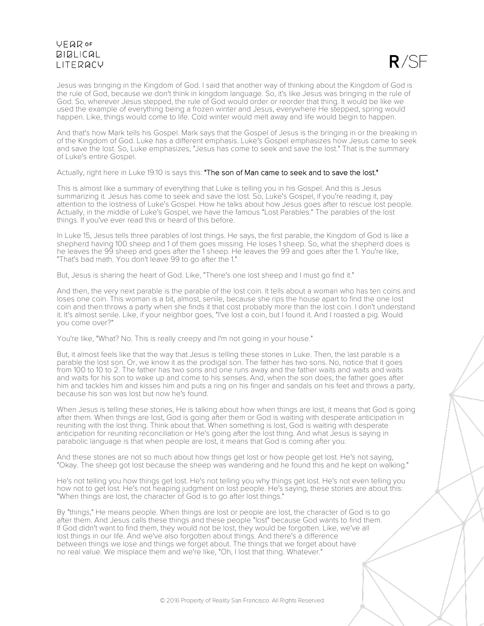$R/SE$ 

Jesus was bringing in the Kingdom of God. I said that another way of thinking about the Kingdom of God is the rule of God, because we don't think in kingdom language. So, it's like Jesus was bringing in the rule of God. So, wherever Jesus stepped, the rule of God would order or reorder that thing. It would be like we used the example of everything being a frozen winter and Jesus, everywhere He stepped, spring would happen. Like, things would come to life. Cold winter would melt away and life would begin to happen.

And that's how Mark tells his Gospel. Mark says that the Gospel of Jesus is the bringing in or the breaking in of the Kingdom of God. Luke has a different emphasis. Luke's Gospel emphasizes how Jesus came to seek and save the lost. So, Luke emphasizes, "Jesus has come to seek and save the lost." That is the summary of Luke's entire Gospel.

Actually, right here in Luke 19:10 is says this: "The son of Man came to seek and to save the lost."

This is almost like a summary of everything that Luke is telling you in his Gospel. And this is Jesus summarizing it. Jesus has come to seek and save the lost. So, Luke's Gospel, if you're reading it, pay attention to the lostness of Luke's Gospel. How he talks about how Jesus goes after to rescue lost people. Actually, in the middle of Luke's Gospel, we have the famous "Lost Parables." The parables of the lost things. If you've ever read this or heard of this before.

In Luke 15, Jesus tells three parables of lost things. He says, the first parable, the Kingdom of God is like a shepherd having 100 sheep and 1 of them goes missing. He loses 1 sheep. So, what the shepherd does is he leaves the 99 sheep and goes after the 1 sheep. He leaves the 99 and goes after the 1. You're like, "That's bad math. You don't leave 99 to go after the 1."

But, Jesus is sharing the heart of God. Like, "There's one lost sheep and I must go find it."

And then, the very next parable is the parable of the lost coin. It tells about a woman who has ten coins and loses one coin. This woman is a bit, almost, senile, because she rips the house apart to find the one lost coin and then throws a party when she finds it that cost probably more than the lost coin. I don't understand it. It's almost senile. Like, if your neighbor goes, "I've lost a coin, but I found it. And I roasted a pig. Would you come over?"

You're like, "What? No. This is really creepy and I'm not going in your house."

But, it almost feels like that the way that Jesus is telling these stories in Luke. Then, the last parable is a parable the lost son. Or, we know it as the prodigal son. The father has two sons. No, notice that it goes from 100 to 10 to 2. The father has two sons and one runs away and the father waits and waits and waits and waits for his son to wake up and come to his senses. And, when the son does, the father goes after him and tackles him and kisses him and puts a ring on his finger and sandals on his feet and throws a party, because his son was lost but now he's found.

When Jesus is telling these stories, He is talking about how when things are lost, it means that God is going after them. When things are lost, God is going after them or God is waiting with desperate anticipation in reuniting with the lost thing. Think about that. When something is lost, God is waiting with desperate anticipation for reuniting reconciliation or He's going after the lost thing. And what Jesus is saying in parabolic language is that when people are lost, it means that God is coming after you.

And these stories are not so much about how things get lost or how people get lost. He's not saying, "Okay. The sheep got lost because the sheep was wandering and he found this and he kept on walking."

He's not telling you how things get lost. He's not telling you why things get lost. He's not even telling you how not to get lost. He's not heaping judgment on lost people. He's saying, these stories are about this: "When things are lost, the character of God is to go after lost things."

By "things," He means people. When things are lost or people are lost, the character of God is to go after them. And Jesus calls these things and these people "lost" because God wants to find them. If God didn't want to find them, they would not be lost, they would be forgotten. Like, we've all lost things in our life. And we've also forgotten about things. And there's a difference between things we lose and things we forget about. The things that we forget about have no real value. We misplace them and we're like, "Oh, I lost that thing. Whatever."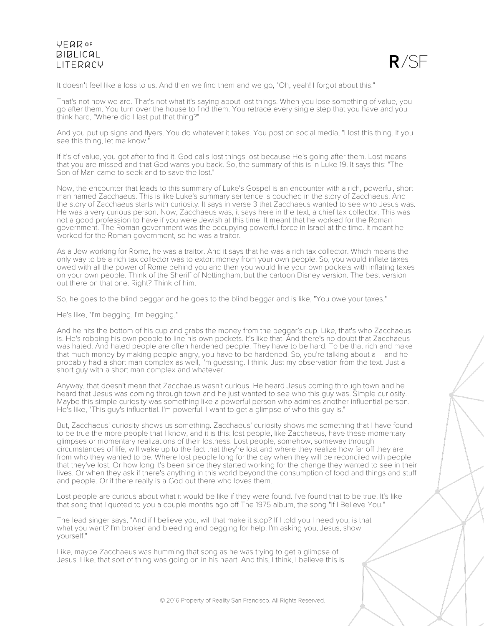

It doesn't feel like a loss to us. And then we find them and we go, "Oh, yeah! I forgot about this."

That's not how we are. That's not what it's saying about lost things. When you lose something of value, you go after them. You turn over the house to find them. You retrace every single step that you have and you think hard, "Where did I last put that thing?"

And you put up signs and flyers. You do whatever it takes. You post on social media, "I lost this thing. If you see this thing, let me know."

If it's of value, you got after to find it. God calls lost things lost because He's going after them. Lost means that you are missed and that God wants you back. So, the summary of this is in Luke 19. It says this: "The Son of Man came to seek and to save the lost."

Now, the encounter that leads to this summary of Luke's Gospel is an encounter with a rich, powerful, short man named Zacchaeus. This is like Luke's summary sentence is couched in the story of Zacchaeus. And the story of Zacchaeus starts with curiosity. It says in verse 3 that Zacchaeus wanted to see who Jesus was. He was a very curious person. Now, Zacchaeus was, it says here in the text, a chief tax collector. This was not a good profession to have if you were Jewish at this time. It meant that he worked for the Roman government. The Roman government was the occupying powerful force in Israel at the time. It meant he worked for the Roman government, so he was a traitor.

As a Jew working for Rome, he was a traitor. And it says that he was a rich tax collector. Which means the only way to be a rich tax collector was to extort money from your own people. So, you would inflate taxes owed with all the power of Rome behind you and then you would line your own pockets with inflating taxes on your own people. Think of the Sheriff of Nottingham, but the cartoon Disney version. The best version out there on that one. Right? Think of him.

So, he goes to the blind beggar and he goes to the blind beggar and is like, "You owe your taxes."

He's like, "I'm begging. I'm begging."

And he hits the bottom of his cup and grabs the money from the beggar's cup. Like, that's who Zacchaeus is. He's robbing his own people to line his own pockets. It's like that. And there's no doubt that Zacchaeus was hated. And hated people are often hardened people. They have to be hard. To be that rich and make that much money by making people angry, you have to be hardened. So, you're talking about a – and he probably had a short man complex as well, I'm guessing. I think. Just my observation from the text. Just a short guy with a short man complex and whatever.

Anyway, that doesn't mean that Zacchaeus wasn't curious. He heard Jesus coming through town and he heard that Jesus was coming through town and he just wanted to see who this guy was. Simple curiosity. Maybe this simple curiosity was something like a powerful person who admires another influential person. He's like, "This guy's influential. I'm powerful. I want to get a glimpse of who this guy is."

But, Zacchaeus' curiosity shows us something. Zacchaeus' curiosity shows me something that I have found to be true the more people that I know, and it is this: lost people, like Zacchaeus, have these momentary glimpses or momentary realizations of their lostness. Lost people, somehow, someway through circumstances of life, will wake up to the fact that they're lost and where they realize how far off they are from who they wanted to be. Where lost people long for the day when they will be reconciled with people that they've lost. Or how long it's been since they started working for the change they wanted to see in their lives. Or when they ask if there's anything in this world beyond the consumption of food and things and stuff and people. Or if there really is a God out there who loves them.

Lost people are curious about what it would be like if they were found. I've found that to be true. It's like that song that I quoted to you a couple months ago off The 1975 album, the song "If I Believe You."

The lead singer says, "And if I believe you, will that make it stop? If I told you I need you, is that what you want? I'm broken and bleeding and begging for help. I'm asking you, Jesus, show yourself."

Like, maybe Zacchaeus was humming that song as he was trying to get a glimpse of Jesus. Like, that sort of thing was going on in his heart. And this, I think, I believe this is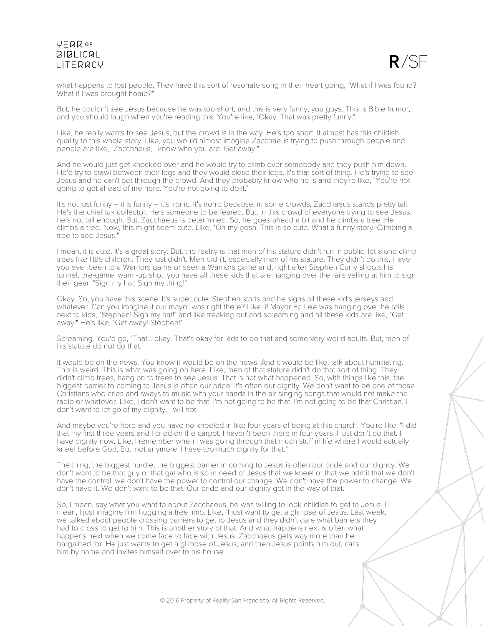

what happens to lost people. They have this sort of resonate song in their heart going, "What if I was found? What if I was brought home?"

But, he couldn't see Jesus because he was too short, and this is very funny, you guys. This is Bible humor, and you should laugh when you're reading this. You're like, "Okay. That was pretty funny."

Like, he really wants to see Jesus, but the crowd is in the way. He's too short. It almost has this childish quality to this whole story. Like, you would almost imagine Zacchaeus trying to push through people and people are like, "Zacchaeus, I know who you are. Get away."

And he would just get knocked over and he would try to climb over somebody and they push him down. He'd try to crawl between their legs and they would close their legs. It's that sort of thing. He's trying to see Jesus and he can't get through the crowd. And they probably know who he is and they're like, "You're not going to get ahead of me here. You're not going to do it."

It's not just funny – it is funny – it's ironic. It's ironic because, in some crowds, Zacchaeus stands pretty tall. He's the chief tax collector. He's someone to be feared. But, in this crowd of everyone trying to see Jesus, he's not tall enough. But, Zacchaeus is determined. So, he goes ahead a bit and he climbs a tree. He climbs a tree. Now, this might seem cute. Like, "Oh my gosh. This is so cute. What a funny story. Climbing a tree to see Jesus."

I mean, it is cute. It's a great story. But, the reality is that men of his stature didn't run in public, let alone climb trees like little children. They just didn't. Men didn't, especially men of his stature. They didn't do this. Have you ever been to a Warriors game or seen a Warriors game and, right after Stephen Curry shoots his tunnel, pre-game, warm-up shot, you have all these kids that are hanging over the rails yelling at him to sign their gear. "Sign my hat! Sign my thing!"

Okay. So, you have this scene. It's super cute. Stephen starts and he signs all these kid's jerseys and whatever. Can you imagine if our mayor was right there? Like, if Mayor Ed Lee was hanging over he rails next to kids, "Stephen! Sign my hat!" and like freaking out and screaming and all these kids are like, "Get away!" He's like, "Get away! Stephen!"

Screaming. You'd go, "That... okay. That's okay for kids to do that and some very weird adults. But, men of his statute do not do that."

It would be on the news. You know it would be on the news. And it would be like, talk about humiliating. This is weird. This is what was going on here. Like, men of that stature didn't do that sort of thing. They didn't climb trees, hang on to trees to see Jesus. That is not what happened. So, with things like this, the biggest barrier to coming to Jesus is often our pride. It's often our dignity. We don't want to be one of those Christians who cries and sways to music with your hands in the air singing songs that would not make the radio or whatever. Like, I don't want to be that. I'm not going to be that. I'm not going to be that Christian. I don't want to let go of my dignity. I will not.

And maybe you're here and you have no kneeled in like four years of being at this church. You're like, "I did that my first three years and I cried on the carpet. I haven't been there in four years. I just don't do that. I have dignity now. Like, I remember when I was going through that much stuff in life where I would actually kneel before God. But, not anymore. I have too much dignity for that."

The thing, the biggest hurdle, the biggest barrier in coming to Jesus is often our pride and our dignity. We don't want to be that guy or that gal who is so in need of Jesus that we kneel or that we admit that we don't have the control, we don't have the power to control our change. We don't have the power to change. We don't have it. We don't want to be that. Our pride and our dignity get in the way of that.

So, I mean, say what you want to about Zacchaeus, he was willing to look childish to get to Jesus. I mean, I just imagine him hugging a tree limb. Like, "I just want to get a glimpse of Jesus. Last week, we talked about people crossing barriers to get to Jesus and they didn't care what barriers they had to cross to get to him. This is another story of that. And what happens next is often what happens next when we come face to face with Jesus. Zacchaeus gets way more than he bargained for. He just wants to get a glimpse of Jesus, and then Jesus points him out, calls him by name and invites himself over to his house.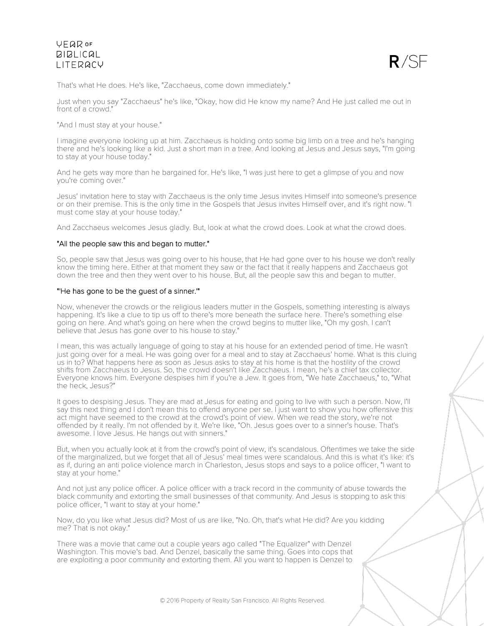

That's what He does. He's like, "Zacchaeus, come down immediately."

Just when you say "Zacchaeus" he's like, "Okay, how did He know my name? And He just called me out in front of a crowd."

"And I must stay at your house."

I imagine everyone looking up at him. Zacchaeus is holding onto some big limb on a tree and he's hanging there and he's looking like a kid. Just a short man in a tree. And looking at Jesus and Jesus says, "I'm going to stay at your house today."

And he gets way more than he bargained for. He's like, "I was just here to get a glimpse of you and now you're coming over."

Jesus' invitation here to stay with Zacchaeus is the only time Jesus invites Himself into someone's presence or on their premise. This is the only time in the Gospels that Jesus invites Himself over, and it's right now. "I must come stay at your house today."

And Zacchaeus welcomes Jesus gladly. But, look at what the crowd does. Look at what the crowd does.

### "All the people saw this and began to mutter."

So, people saw that Jesus was going over to his house, that He had gone over to his house we don't really know the timing here. Either at that moment they saw or the fact that it really happens and Zacchaeus got down the tree and then they went over to his house. But, all the people saw this and began to mutter.

### "'He has gone to be the guest of a sinner.'"

Now, whenever the crowds or the religious leaders mutter in the Gospels, something interesting is always happening. It's like a clue to tip us off to there's more beneath the surface here. There's something else going on here. And what's going on here when the crowd begins to mutter like, "Oh my gosh. I can't believe that Jesus has gone over to his house to stay."

I mean, this was actually language of going to stay at his house for an extended period of time. He wasn't just going over for a meal. He was going over for a meal and to stay at Zacchaeus' home. What is this cluing us in to? What happens here as soon as Jesus asks to stay at his home is that the hostility of the crowd shifts from Zacchaeus to Jesus. So, the crowd doesn't like Zacchaeus. I mean, he's a chief tax collector. Everyone knows him. Everyone despises him if you're a Jew. It goes from, "We hate Zacchaeus," to, "What the heck, Jesus?"

It goes to despising Jesus. They are mad at Jesus for eating and going to live with such a person. Now, I'll say this next thing and I don't mean this to offend anyone per se. I just want to show you how offensive this act might have seemed to the crowd at the crowd's point of view. When we read the story, we're not offended by it really. I'm not offended by it. We're like, "Oh. Jesus goes over to a sinner's house. That's awesome. I love Jesus. He hangs out with sinners."

But, when you actually look at it from the crowd's point of view, it's scandalous. Oftentimes we take the side of the marginalized, but we forget that all of Jesus' meal times were scandalous. And this is what it's like: it's as if, during an anti police violence march in Charleston, Jesus stops and says to a police officer, "I want to stay at your home."

And not just any police officer. A police officer with a track record in the community of abuse towards the black community and extorting the small businesses of that community. And Jesus is stopping to ask this police officer, "I want to stay at your home."

Now, do you like what Jesus did? Most of us are like, "No. Oh, that's what He did? Are you kidding me? That is not okay."

There was a movie that came out a couple years ago called "The Equalizer" with Denzel Washington. This movie's bad. And Denzel, basically the same thing. Goes into cops that are exploiting a poor community and extorting them. All you want to happen is Denzel to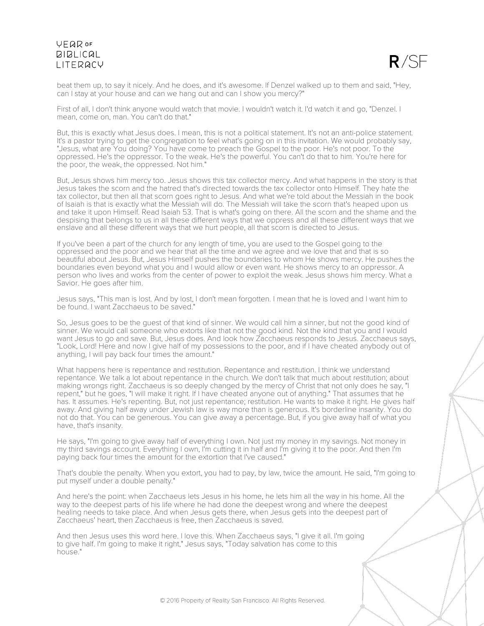

beat them up, to say it nicely. And he does, and it's awesome. If Denzel walked up to them and said, "Hey, can I stay at your house and can we hang out and can I show you mercy?"

First of all, I don't think anyone would watch that movie. I wouldn't watch it. I'd watch it and go, "Denzel. I mean, come on, man. You can't do that."

But, this is exactly what Jesus does. I mean, this is not a political statement. It's not an anti-police statement. It's a pastor trying to get the congregation to feel what's going on in this invitation. We would probably say, "Jesus, what are You doing? You have come to preach the Gospel to the poor. He's not poor. To the oppressed. He's the oppressor. To the weak. He's the powerful. You can't do that to him. You're here for the poor, the weak, the oppressed. Not him."

But, Jesus shows him mercy too. Jesus shows this tax collector mercy. And what happens in the story is that Jesus takes the scorn and the hatred that's directed towards the tax collector onto Himself. They hate the tax collector, but then all that scorn goes right to Jesus. And what we're told about the Messiah in the book of Isaiah is that is exactly what the Messiah will do. The Messiah will take the scorn that's heaped upon us and take it upon Himself. Read Isaiah 53. That is what's going on there. All the scorn and the shame and the despising that belongs to us in all these different ways that we oppress and all these different ways that we enslave and all these different ways that we hurt people, all that scorn is directed to Jesus.

If you've been a part of the church for any length of time, you are used to the Gospel going to the oppressed and the poor and we hear that all the time and we agree and we love that and that is so beautiful about Jesus. But, Jesus Himself pushes the boundaries to whom He shows mercy. He pushes the boundaries even beyond what you and I would allow or even want. He shows mercy to an oppressor. A person who lives and works from the center of power to exploit the weak. Jesus shows him mercy. What a Savior. He goes after him.

Jesus says, "This man is lost. And by lost, I don't mean forgotten. I mean that he is loved and I want him to be found. I want Zacchaeus to be saved."

So, Jesus goes to be the guest of that kind of sinner. We would call him a sinner, but not the good kind of sinner. We would call someone who extorts like that not the good kind. Not the kind that you and I would want Jesus to go and save. But, Jesus does. And look how Zacchaeus responds to Jesus. Zacchaeus says, "Look, Lord! Here and now I give half of my possessions to the poor, and if I have cheated anybody out of anything, I will pay back four times the amount."

What happens here is repentance and restitution. Repentance and restitution. I think we understand repentance. We talk a lot about repentance in the church. We don't talk that much about restitution; about making wrongs right. Zacchaeus is so deeply changed by the mercy of Christ that not only does he say, "I repent," but he goes, "I will make it right. If I have cheated anyone out of anything." That assumes that he has. It assumes. He's repenting. But, not just repentance; restitution. He wants to make it right. He gives half away. And giving half away under Jewish law is way more than is generous. It's borderline insanity. You do not do that. You can be generous. You can give away a percentage. But, if you give away half of what you have, that's insanity.

He says, "I'm going to give away half of everything I own. Not just my money in my savings. Not money in my third savings account. Everything I own, I'm cutting it in half and I'm giving it to the poor. And then I'm paying back four times the amount for the extortion that I've caused."

That's double the penalty. When you extort, you had to pay, by law, twice the amount. He said, "I'm going to put myself under a double penalty."

And here's the point: when Zacchaeus lets Jesus in his home, he lets him all the way in his home. All the way to the deepest parts of his life where he had done the deepest wrong and where the deepest healing needs to take place. And when Jesus gets there, when Jesus gets into the deepest part of Zacchaeus' heart, then Zacchaeus is free, then Zacchaeus is saved.

And then Jesus uses this word here. I love this. When Zacchaeus says, "I give it all. I'm going to give half. I'm going to make it right," Jesus says, "Today salvation has come to this house."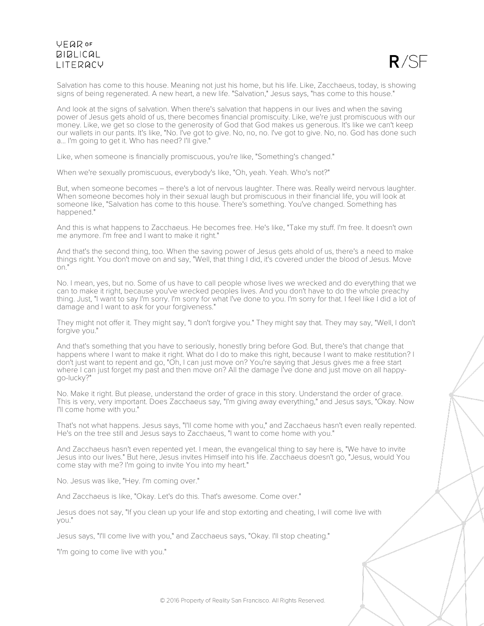

Salvation has come to this house. Meaning not just his home, but his life. Like, Zacchaeus, today, is showing signs of being regenerated. A new heart, a new life. "Salvation," Jesus says, "has come to this house."

And look at the signs of salvation. When there's salvation that happens in our lives and when the saving power of Jesus gets ahold of us, there becomes financial promiscuity. Like, we're just promiscuous with our money. Like, we get so close to the generosity of God that God makes us generous. It's like we can't keep our wallets in our pants. It's like, "No. I've got to give. No, no, no. I've got to give. No, no. God has done such a... I'm going to get it. Who has need? I'll give."

Like, when someone is financially promiscuous, you're like, "Something's changed."

When we're sexually promiscuous, everybody's like, "Oh, yeah. Yeah. Who's not?"

But, when someone becomes – there's a lot of nervous laughter. There was. Really weird nervous laughter. When someone becomes holy in their sexual laugh but promiscuous in their financial life, you will look at someone like, "Salvation has come to this house. There's something. You've changed. Something has happened."

And this is what happens to Zacchaeus. He becomes free. He's like, "Take my stuff. I'm free. It doesn't own me anymore. I'm free and I want to make it right."

And that's the second thing, too. When the saving power of Jesus gets ahold of us, there's a need to make things right. You don't move on and say, "Well, that thing I did, it's covered under the blood of Jesus. Move on."

No. I mean, yes, but no. Some of us have to call people whose lives we wrecked and do everything that we can to make it right, because you've wrecked peoples lives. And you don't have to do the whole preachy thing. Just, "I want to say I'm sorry. I'm sorry for what I've done to you. I'm sorry for that. I feel like I did a lot of damage and I want to ask for your forgiveness."

They might not offer it. They might say, "I don't forgive you." They might say that. They may say, "Well, I don't forgive you."

And that's something that you have to seriously, honestly bring before God. But, there's that change that happens where I want to make it right. What do I do to make this right, because I want to make restitution? I don't just want to repent and go, "Oh, I can just move on? You're saying that Jesus gives me a free start where I can just forget my past and then move on? All the damage I've done and just move on all happygo-lucky?"

No. Make it right. But please, understand the order of grace in this story. Understand the order of grace. This is very, very important. Does Zacchaeus say, "I'm giving away everything," and Jesus says, "Okay. Now I'll come home with you."

That's not what happens. Jesus says, "I'll come home with you," and Zacchaeus hasn't even really repented. He's on the tree still and Jesus says to Zacchaeus, "I want to come home with you."

And Zacchaeus hasn't even repented yet. I mean, the evangelical thing to say here is, "We have to invite Jesus into our lives." But here, Jesus invites Himself into his life. Zacchaeus doesn't go, "Jesus, would You come stay with me? I'm going to invite You into my heart."

No. Jesus was like, "Hey. I'm coming over."

And Zacchaeus is like, "Okay. Let's do this. That's awesome. Come over."

Jesus does not say, "If you clean up your life and stop extorting and cheating, I will come live with you."

Jesus says, "I'll come live with you," and Zacchaeus says, "Okay. I'll stop cheating."

"I'm going to come live with you."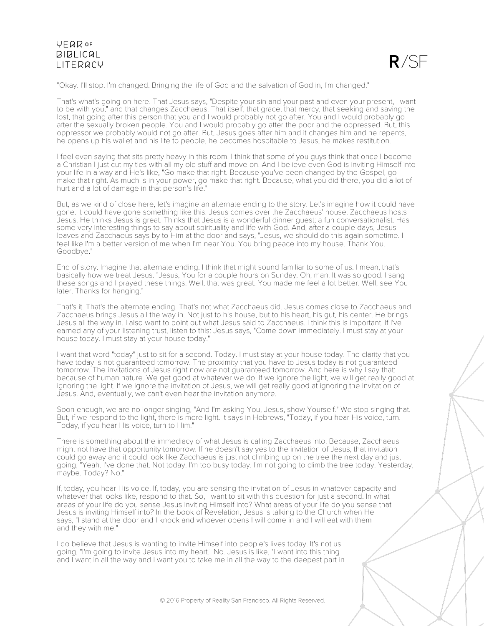

"Okay. I'll stop. I'm changed. Bringing the life of God and the salvation of God in, I'm changed."

That's what's going on here. That Jesus says, "Despite your sin and your past and even your present, I want to be with you," and that changes Zacchaeus. That itself, that grace, that mercy, that seeking and saving the lost, that going after this person that you and I would probably not go after. You and I would probably go after the sexually broken people. You and I would probably go after the poor and the oppressed. But, this oppressor we probably would not go after. But, Jesus goes after him and it changes him and he repents, he opens up his wallet and his life to people, he becomes hospitable to Jesus, he makes restitution.

I feel even saying that sits pretty heavy in this room. I think that some of you guys think that once I become a Christian I just cut my ties with all my old stuff and move on. And I believe even God is inviting Himself into your life in a way and He's like, "Go make that right. Because you've been changed by the Gospel, go make that right. As much is in your power, go make that right. Because, what you did there, you did a lot of hurt and a lot of damage in that person's life."

But, as we kind of close here, let's imagine an alternate ending to the story. Let's imagine how it could have gone. It could have gone something like this: Jesus comes over the Zacchaeus' house. Zacchaeus hosts Jesus. He thinks Jesus is great. Thinks that Jesus is a wonderful dinner guest; a fun conversationalist. Has some very interesting things to say about spirituality and life with God. And, after a couple days, Jesus leaves and Zacchaeus says by to Him at the door and says, "Jesus, we should do this again sometime. I feel like I'm a better version of me when I'm near You. You bring peace into my house. Thank You. Goodbye."

End of story. Imagine that alternate ending. I think that might sound familiar to some of us. I mean, that's basically how we treat Jesus. "Jesus, You for a couple hours on Sunday. Oh, man. It was so good. I sang these songs and I prayed these things. Well, that was great. You made me feel a lot better. Well, see You later. Thanks for hanging."

That's it. That's the alternate ending. That's not what Zacchaeus did. Jesus comes close to Zacchaeus and Zacchaeus brings Jesus all the way in. Not just to his house, but to his heart, his gut, his center. He brings Jesus all the way in. I also want to point out what Jesus said to Zacchaeus. I think this is important. If I've earned any of your listening trust, listen to this: Jesus says, "Come down immediately. I must stay at your house today. I must stay at your house today."

I want that word "today" just to sit for a second. Today. I must stay at your house today. The clarity that you have today is not guaranteed tomorrow. The proximity that you have to Jesus today is not guaranteed tomorrow. The invitations of Jesus right now are not guaranteed tomorrow. And here is why I say that: because of human nature. We get good at whatever we do. If we ignore the light, we will get really good at ignoring the light. If we ignore the invitation of Jesus, we will get really good at ignoring the invitation of Jesus. And, eventually, we can't even hear the invitation anymore.

Soon enough, we are no longer singing, "And I'm asking You, Jesus, show Yourself." We stop singing that. But, if we respond to the light, there is more light. It says in Hebrews, "Today, if you hear His voice, turn. Today, if you hear His voice, turn to Him."

There is something about the immediacy of what Jesus is calling Zacchaeus into. Because, Zacchaeus might not have that opportunity tomorrow. If he doesn't say yes to the invitation of Jesus, that invitation could go away and it could look like Zacchaeus is just not climbing up on the tree the next day and just going, "Yeah. I've done that. Not today. I'm too busy today. I'm not going to climb the tree today. Yesterday, maybe. Today? No."

If, today, you hear His voice. If, today, you are sensing the invitation of Jesus in whatever capacity and whatever that looks like, respond to that. So, I want to sit with this question for just a second. In what areas of your life do you sense Jesus inviting Himself into? What areas of your life do you sense that Jesus is inviting Himself into? In the book of Revelation, Jesus is talking to the Church when He says, "I stand at the door and I knock and whoever opens I will come in and I will eat with them and they with me."

I do believe that Jesus is wanting to invite Himself into people's lives today. It's not us going, "I'm going to invite Jesus into my heart." No. Jesus is like, "I want into this thing and I want in all the way and I want you to take me in all the way to the deepest part in